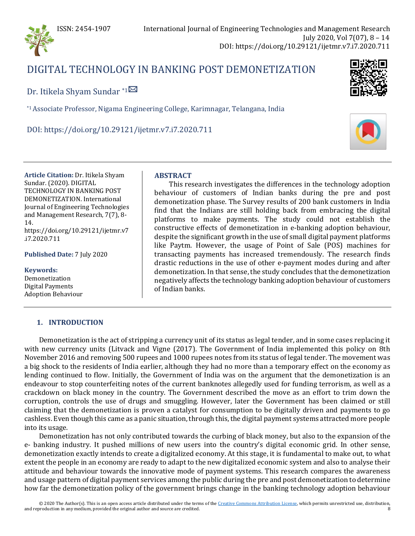

# DIGITAL TECHNOLOGY IN BANKING POST DEMONETIZATION

Dr. Itikela Shyam Sundar \*1<sup>⊠</sup>

\*1 Associate Professor, Nigama Engineering College, Karimnagar, Telangana, India

DOI: https://doi.org/10.29121/ijetmr.v7.i7.2020.711



**Article Citation:** Dr. Itikela Shyam Sundar. (2020). DIGITAL TECHNOLOGY IN BANKING POST DEMONETIZATION. International Journal of Engineering Technologies and Management Research, 7(7), 8- 14. https://doi.org/10.29121/ijetmr.v7 .i7.2020.711

**Published Date:** 7 July 2020

**Keywords:**

Demonetization Digital Payments Adoption Behaviour

# **ABSTRACT**

This research investigates the differences in the technology adoption behaviour of customers of Indian banks during the pre and post demonetization phase. The Survey results of 200 bank customers in India find that the Indians are still holding back from embracing the digital platforms to make payments. The study could not establish the constructive effects of demonetization in e-banking adoption behaviour, despite the significant growth in the use of small digital payment platforms like Paytm. However, the usage of Point of Sale (POS) machines for transacting payments has increased tremendously. The research finds drastic reductions in the use of other e-payment modes during and after demonetization. In that sense, the study concludes that the demonetization negatively affects the technology banking adoption behaviour of customers of Indian banks.

# **1. INTRODUCTION**

Demonetization is the act of stripping a currency unit of its status as legal tender, and in some cases replacing it with new currency units (Litvack and Vigne (2017). The Government of India implemented this policy on 8th November 2016 and removing 500 rupees and 1000 rupees notes from its status of legal tender. The movement was a big shock to the residents of India earlier, although they had no more than a temporary effect on the economy as lending continued to flow. Initially, the Government of India was on the argument that the demonetization is an endeavour to stop counterfeiting notes of the current banknotes allegedly used for funding terrorism, as well as a crackdown on black money in the country. The Government described the move as an effort to trim down the corruption, controls the use of drugs and smuggling. However, later the Government has been claimed or still claiming that the demonetization is proven a catalyst for consumption to be digitally driven and payments to go cashless. Even though this came as a panic situation, through this, the digital payment systems attracted more people into its usage.

Demonetization has not only contributed towards the curbing of black money, but also to the expansion of the e- banking industry. It pushed millions of new users into the country's digital economic grid. In other sense, demonetization exactly intends to create a digitalized economy. At this stage, it is fundamental to make out, to what extent the people in an economy are ready to adapt to the new digitalized economic system and also to analyse their attitude and behaviour towards the innovative mode of payment systems. This research compares the awareness and usage pattern of digital payment services among the public during the pre and post demonetization to determine how far the demonetization policy of the government brings change in the banking technology adoption behaviour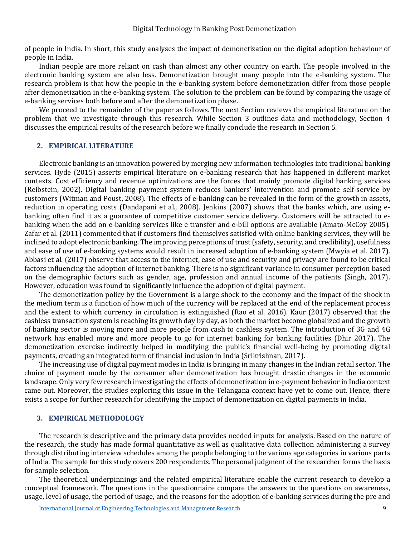of people in India. In short, this study analyses the impact of demonetization on the digital adoption behaviour of people in India.

Indian people are more reliant on cash than almost any other country on earth. The people involved in the electronic banking system are also less. Demonetization brought many people into the e-banking system. The research problem is that how the people in the e-banking system before demonetization differ from those people after demonetization in the e-banking system. The solution to the problem can be found by comparing the usage of e-banking services both before and after the demonetization phase.

We proceed to the remainder of the paper as follows. The next Section reviews the empirical literature on the problem that we investigate through this research. While Section 3 outlines data and methodology, Section 4 discusses the empirical results of the research before we finally conclude the research in Section 5.

#### **2. EMPIRICAL LITERATURE**

Electronic banking is an innovation powered by merging new information technologies into traditional banking services. Hyde (2015) asserts empirical literature on e-banking research that has happened in different market contexts. Cost efficiency and revenue optimizations are the forces that mainly promote digital banking services (Reibstein, 2002). Digital banking payment system reduces bankers' intervention and promote self-service by customers (Witman and Poust, 2008). The effects of e-banking can be revealed in the form of the growth in assets, reduction in operating costs (Dandapani et al., 2008). Jenkins (2007) shows that the banks which, are using ebanking often find it as a guarantee of competitive customer service delivery. Customers will be attracted to ebanking when the add on e-banking services like e transfer and e-bill options are available (Amato-McCoy 2005). Zafar et al. (2011) commented that if customers find themselves satisfied with online banking services, they will be inclined to adopt electronic banking. The improving perceptions of trust (safety, security, and credibility), usefulness and ease of use of e-banking systems would result in increased adoption of e-banking system (Mwyia et al. 2017). Abbasi et al. (2017) observe that access to the internet, ease of use and security and privacy are found to be critical factors influencing the adoption of internet banking. There is no significant variance in consumer perception based on the demographic factors such as gender, age, profession and annual income of the patients (Singh, 2017). However, education was found to significantly influence the adoption of digital payment.

The demonetization policy by the Government is a large shock to the economy and the impact of the shock in the medium term is a function of how much of the currency will be replaced at the end of the replacement process and the extent to which currency in circulation is extinguished (Rao et al. 2016). Kaur (2017) observed that the cashless transaction system is reaching its growth day by day, as both the market become globalized and the growth of banking sector is moving more and more people from cash to cashless system. The introduction of 3G and 4G network has enabled more and more people to go for internet banking for banking facilities (Dhir 2017). The demonetization exercise indirectly helped in modifying the public's financial well-being by promoting digital payments, creating an integrated form of financial inclusion in India (Srikrishnan, 2017).

The increasing use of digital payment modes in India is bringing in many changes in the Indian retail sector. The choice of payment mode by the consumer after demonetization has brought drastic changes in the economic landscape. Only very few research investigating the effects of demonetization in e-payment behavior in India context came out. Moreover, the studies exploring this issue in the Telangana context have yet to come out. Hence, there exists a scope for further research for identifying the impact of demonetization on digital payments in India.

#### **3. EMPIRICAL METHODOLOGY**

The research is descriptive and the primary data provides needed inputs for analysis. Based on the nature of the research, the study has made formal quantitative as well as qualitative data collection administering a survey through distributing interview schedules among the people belonging to the various age categories in various parts of India. The sample for this study covers 200 respondents. The personal judgment of the researcher forms the basis for sample selection.

The theoretical underpinnings and the related empirical literature enable the current research to develop a conceptual framework. The questions in the questionnaire compare the answers to the questions on awareness, usage, level of usage, the period of usage, and the reasons for the adoption of e-banking services during the pre and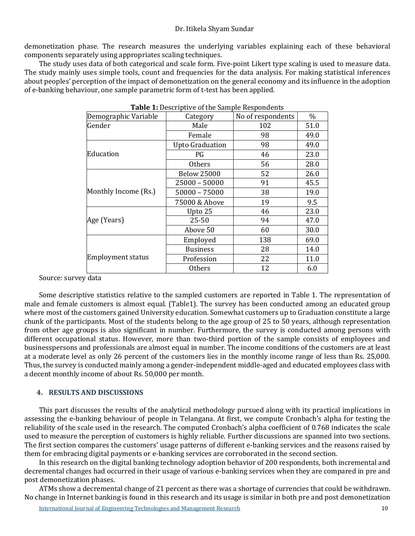#### Dr. Itikela Shyam Sundar

demonetization phase. The research measures the underlying variables explaining each of these behavioral components separately using appropriates scaling techniques.

The study uses data of both categorical and scale form. Five-point Likert type scaling is used to measure data. The study mainly uses simple tools, count and frequencies for the data analysis. For making statistical inferences about peoples' perception of the impact of demonetization on the general economy and its influence in the adoption of e-banking behaviour, one sample parametric form of t-test has been applied.

| Category               | No of respondents | $\%$ |
|------------------------|-------------------|------|
| Male                   | 102               | 51.0 |
| Female                 | 98                | 49.0 |
| <b>Upto Graduation</b> | 98                | 49.0 |
| PG                     | 46                | 23.0 |
| Others                 | 56                | 28.0 |
| <b>Below 25000</b>     | 52                | 26.0 |
| $25000 - 50000$        | 91                | 45.5 |
| $50000 - 75000$        | 38                | 19.0 |
| 75000 & Above          | 19                | 9.5  |
| Upto 25                | 46                | 23.0 |
| $25 - 50$              | 94                | 47.0 |
| Above 50               | 60                | 30.0 |
| Employed               | 138               | 69.0 |
| <b>Business</b>        | 28                | 14.0 |
| Profession             | 22                | 11.0 |
| Others                 | 12                | 6.0  |
|                        |                   |      |

**Table 1:** Descriptive of the Sample Respondents

Source: survey data

Some descriptive statistics relative to the sampled customers are reported in Table 1. The representation of male and female customers is almost equal. (Table1). The survey has been conducted among an educated group where most of the customers gained University education. Somewhat customers up to Graduation constitute a large chunk of the participants. Most of the students belong to the age group of 25 to 50 years, although representation from other age groups is also significant in number. Furthermore, the survey is conducted among persons with different occupational status. However, more than two-third portion of the sample consists of employees and businesspersons and professionals are almost equal in number. The income conditions of the customers are at least at a moderate level as only 26 percent of the customers lies in the monthly income range of less than Rs. 25,000. Thus, the survey is conducted mainly among a gender-independent middle-aged and educated employees class with a decent monthly income of about Rs. 50,000 per month.

# **4. RESULTS AND DISCUSSIONS**

This part discusses the results of the analytical methodology pursued along with its practical implications in assessing the e-banking behaviour of people in Telangana. At first, we compute Cronbach's alpha for testing the reliability of the scale used in the research. The computed Cronbach's alpha coefficient of 0.768 indicates the scale used to measure the perception of customers is highly reliable. Further discussions are spanned into two sections. The first section compares the customers' usage patterns of different e-banking services and the reasons raised by them for embracing digital payments or e-banking services are corroborated in the second section.

In this research on the digital banking technology adoption behavior of 200 respondents, both incremental and decremental changes had occurred in their usage of various e-banking services when they are compared in pre and post demonetization phases.

ATMs show a decremental change of 21 percent as there was a shortage of currencies that could be withdrawn. No change in Internet banking is found in this research and its usage is similar in both pre and post demonetization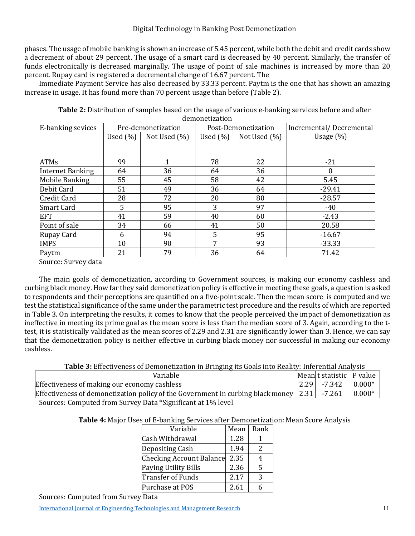phases. The usage of mobile banking is shown an increase of 5.45 percent, while both the debit and credit cards show a decrement of about 29 percent. The usage of a smart card is decreased by 40 percent. Similarly, the transfer of funds electronically is decreased marginally. The usage of point of sale machines is increased by more than 20 percent. Rupay card is registered a decremental change of 16.67 percent. The

Immediate Payment Service has also decreased by 33.33 percent. Paytm is the one that has shown an amazing increase in usage. It has found more than 70 percent usage than before (Table 2).

| E-banking sevices       | Pre-demonetization<br>Post-Demonetization |              |             | Incremental/Decremental |              |
|-------------------------|-------------------------------------------|--------------|-------------|-------------------------|--------------|
|                         | Used $(\%)$                               | Not Used (%) | Used $(\%)$ | Not Used (%)            | Usage $(\%)$ |
|                         |                                           |              |             |                         |              |
| <b>ATMs</b>             | 99                                        | 1            | 78          | 22                      | $-21$        |
| <b>Internet Banking</b> | 64                                        | 36           | 64          | 36                      |              |
| <b>Mobile Banking</b>   | 55                                        | 45           | 58          | 42                      | 5.45         |
| Debit Card              | 51                                        | 49           | 36          | 64                      | $-29.41$     |
| Credit Card             | 28                                        | 72           | 20          | 80                      | $-28.57$     |
| <b>Smart Card</b>       | 5                                         | 95           | 3           | 97                      | $-40$        |
| <b>EFT</b>              | 41                                        | 59           | 40          | 60                      | $-2.43$      |
| Point of sale           | 34                                        | 66           | 41          | 50                      | 20.58        |
| Rupay Card              | 6                                         | 94           | 5           | 95                      | $-16.67$     |
| <b>IMPS</b>             | 10                                        | 90           | 7           | 93                      | $-33.33$     |
| Paytm                   | 21                                        | 79           | 36          | 64                      | 71.42        |
|                         |                                           |              |             |                         |              |

**Table 2:** Distribution of samples based on the usage of various e-banking services before and after demonetization

Source: Survey data

The main goals of demonetization, according to Government sources, is making our economy cashless and curbing black money. How far they said demonetization policy is effective in meeting these goals, a question is asked to respondents and their perceptions are quantified on a five-point scale. Then the mean score is computed and we test the statistical significance of the same under the parametric test procedure and the results of which are reported in Table 3. On interpreting the results, it comes to know that the people perceived the impact of demonetization as ineffective in meeting its prime goal as the mean score is less than the median score of 3. Again, according to the ttest, it is statistically validated as the mean scores of 2.29 and 2.31 are significantly lower than 3. Hence, we can say that the demonetization policy is neither effective in curbing black money nor successful in making our economy cashless.

**Table 3:** Effectiveness of Demonetization in Bringing its Goals into Reality: Inferential Analysis

| Variable                                                                                                  | Mean t statistic   P value |          |
|-----------------------------------------------------------------------------------------------------------|----------------------------|----------|
| Effectiveness of making our economy cashless                                                              | $ 2.29  -7.342$            | $0.000*$ |
| Effectiveness of demonetization policy of the Government in curbing black money $\vert 2.31 \vert$ -7.261 |                            | $0.000*$ |
| Sources: Computed from Survey Data *Significant at 1% level                                               |                            |          |

| Table 4: Major Uses of E-banking Services after Demonetization: Mean Score Analysis |  |  |  |
|-------------------------------------------------------------------------------------|--|--|--|
|                                                                                     |  |  |  |

| Variable                        | Mean | Rank |
|---------------------------------|------|------|
| Cash Withdrawal                 | 1.28 |      |
| Depositing Cash                 | 1.94 | 2    |
| <b>Checking Account Balance</b> | 2.35 | 4    |
| Paying Utility Bills            | 2.36 | 5    |
| Transfer of Funds               | 2.17 | ς    |
| Purchase at POS                 | 2.61 | 6    |

Sources: Computed from Survey Data

[International Journal of Engineering Technologies and Management Research](https://www.granthaalayahpublication.org/ijetmr-ojms/index.php/ijetmr) 11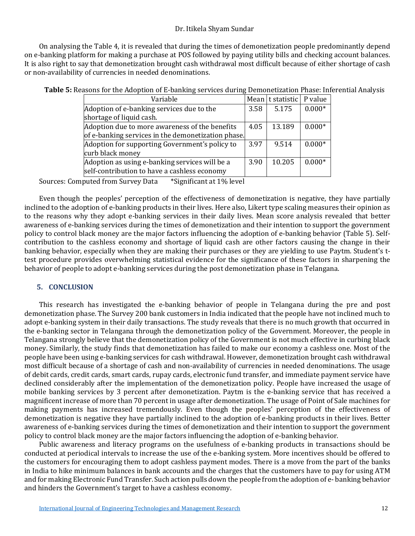## Dr. Itikela Shyam Sundar

On analysing the Table 4, it is revealed that during the times of demonetization people predominantly depend on e-banking platform for making a purchase at POS followed by paying utility bills and checking account balances. It is also right to say that demonetization brought cash withdrawal most difficult because of either shortage of cash or non-availability of currencies in needed denominations.

|  | Table 5: Reasons for the Adoption of E-banking services during Demonetization Phase: Inferential Analysis |  |  |
|--|-----------------------------------------------------------------------------------------------------------|--|--|
|  |                                                                                                           |  |  |

| Variable                                           |      | Mean   t statistic   P value |          |
|----------------------------------------------------|------|------------------------------|----------|
| Adoption of e-banking services due to the          | 3.58 | 5.175                        | $0.000*$ |
| shortage of liquid cash.                           |      |                              |          |
| Adoption due to more awareness of the benefits     | 4.05 | 13.189                       | $0.000*$ |
| of e-banking services in the demonetization phase. |      |                              |          |
| Adoption for supporting Government's policy to     | 3.97 | 9.514                        | $0.000*$ |
| curb black money                                   |      |                              |          |
| Adoption as using e-banking services will be a     | 3.90 | 10.205                       | $0.000*$ |
| self-contribution to have a cashless economy       |      |                              |          |

Sources: Computed from Survey Data \*Significant at 1% level

Even though the peoples' perception of the effectiveness of demonetization is negative, they have partially inclined to the adoption of e-banking products in their lives. Here also, Likert type scaling measures their opinion as to the reasons why they adopt e-banking services in their daily lives. Mean score analysis revealed that better awareness of e-banking services during the times of demonetization and their intention to support the government policy to control black money are the major factors influencing the adoption of e-banking behavior (Table 5). Selfcontribution to the cashless economy and shortage of liquid cash are other factors causing the change in their banking behavior, especially when they are making their purchases or they are yielding to use Paytm. Student's ttest procedure provides overwhelming statistical evidence for the significance of these factors in sharpening the behavior of people to adopt e-banking services during the post demonetization phase in Telangana.

#### **5. CONCLUSION**

This research has investigated the e-banking behavior of people in Telangana during the pre and post demonetization phase. The Survey 200 bank customers in India indicated that the people have not inclined much to adopt e-banking system in their daily transactions. The study reveals that there is no much growth that occurred in the e-banking sector in Telangana through the demonetization policy of the Government. Moreover, the people in Telangana strongly believe that the demonetization policy of the Government is not much effective in curbing black money. Similarly, the study finds that demonetization has failed to make our economy a cashless one. Most of the people have been using e-banking services for cash withdrawal. However, demonetization brought cash withdrawal most difficult because of a shortage of cash and non-availability of currencies in needed denominations. The usage of debit cards, credit cards, smart cards, rupay cards, electronic fund transfer, and immediate payment service have declined considerably after the implementation of the demonetization policy. People have increased the usage of mobile banking services by 3 percent after demonetization. Paytm is the e-banking service that has received a magnificent increase of more than 70 percent in usage after demonetization. The usage of Point of Sale machines for making payments has increased tremendously. Even though the peoples' perception of the effectiveness of demonetization is negative they have partially inclined to the adoption of e-banking products in their lives. Better awareness of e-banking services during the times of demonetization and their intention to support the government policy to control black money are the major factors influencing the adoption of e-banking behavior.

Public awareness and literacy programs on the usefulness of e-banking products in transactions should be conducted at periodical intervals to increase the use of the e-banking system. More incentives should be offered to the customers for encouraging them to adopt cashless payment modes. There is a move from the part of the banks in India to hike minimum balances in bank accounts and the charges that the customers have to pay for using ATM and for making Electronic Fund Transfer. Such action pulls down the people from the adoption of e- banking behavior and hinders the Government's target to have a cashless economy.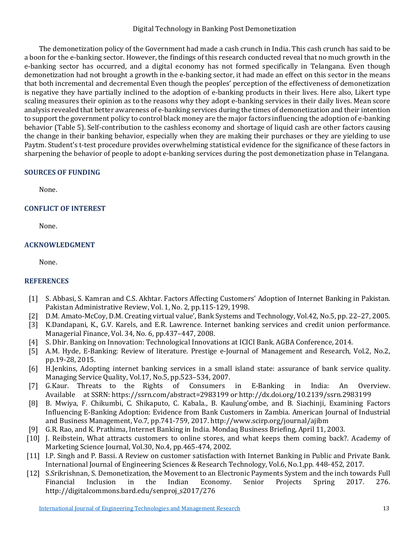## Digital Technology in Banking Post Demonetization

The demonetization policy of the Government had made a cash crunch in India. This cash crunch has said to be a boon for the e-banking sector. However, the findings of this research conducted reveal that no much growth in the e-banking sector has occurred, and a digital economy has not formed specifically in Telangana. Even though demonetization had not brought a growth in the e-banking sector, it had made an effect on this sector in the means that both incremental and decremental Even though the peoples' perception of the effectiveness of demonetization is negative they have partially inclined to the adoption of e-banking products in their lives. Here also, Likert type scaling measures their opinion as to the reasons why they adopt e-banking services in their daily lives. Mean score analysis revealed that better awareness of e-banking services during the times of demonetization and their intention to support the government policy to control black money are the major factors influencing the adoption of e-banking behavior (Table 5). Self-contribution to the cashless economy and shortage of liquid cash are other factors causing the change in their banking behavior, especially when they are making their purchases or they are yielding to use Paytm. Student's t-test procedure provides overwhelming statistical evidence for the significance of these factors in sharpening the behavior of people to adopt e-banking services during the post demonetization phase in Telangana.

## **SOURCES OF FUNDING**

None.

# **CONFLICT OF INTEREST**

None.

## **ACKNOWLEDGMENT**

None.

# **REFERENCES**

- [1] S. Abbasi, S. Kamran and C.S. Akhtar. Factors Affecting Customers' Adoption of Internet Banking in Pakistan. Pakistan Administrative Review, Vol. 1, No. 2, pp.115-129, 1998.
- [2] D.M. Amato-McCoy, D.M. Creating virtual value', Bank Systems and Technology, Vol.42, No.5, pp. 22–27, 2005.
- [3] K.Dandapani, K., G.V. Karels, and E.R. Lawrence. Internet banking services and credit union performance. Managerial Finance, Vol. 34, No. 6, pp.437–447, 2008.
- [4] S. Dhir. Banking on Innovation: Technological Innovations at ICICI Bank. AGBA Conference, 2014.<br>[5] A.M. Hyde, E-Banking: Review of literature. Prestige e-Journal of Management and Research.
- [5] A.M. Hyde, E-Banking: Review of literature. Prestige e-Journal of Management and Research, Vol.2, No.2, pp.19-28, 2015.
- [6] H.Jenkins, Adopting internet banking services in a small island state: assurance of bank service quality. Managing Service Quality, Vol.17, No.5, pp.523–534, 2007.
- [7] G.Kaur. Threats to the Rights of Consumers in E-Banking in India: An Overview. Available at SSRN: https://ssrn.com/abstract=2983199 or http://dx.doi.org/10.2139/ssrn.2983199
- [8] B. Mwiya, F. Chikumbi, C. Shikaputo, C. Kabala., B. Kaulung'ombe, and B. Siachinji, Examining Factors Influencing E-Banking Adoption: Evidence from Bank Customers in Zambia. American Journal of Industrial and Business Management, Vo.7, pp.741-759, 2017. http://www.scirp.org/journal/ajibm
- [9] G.R. Rao, and K. Prathima, Internet Banking in India. Mondaq Business Briefing, April 11, 2003.
- [10] J. Reibstein, What attracts customers to online stores, and what keeps them coming back?. Academy of Marketing Science Journal, Vol.30, No.4, pp.465-474, 2002.
- [11] I.P. Singh and P. Bassi. A Review on customer satisfaction with Internet Banking in Public and Private Bank. International Journal of Engineering Sciences & Research Technology, Vol.6, No.1,pp. 448-452, 2017.
- [12] S.Srikrishnan, S. Demonetization, the Movement to an Electronic Payments System and the inch towards Full Financial Inclusion in the Indian Economy. Senior Projects Spring 2017. 276. http://digitalcommons.bard.edu/senproj\_s2017/276